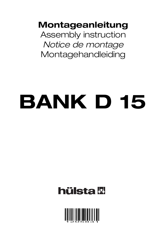**Montageanleitung**

Assembly instruction Notice de montage Montagehandleiding

# **BANK D 15**

# **hülsta W**

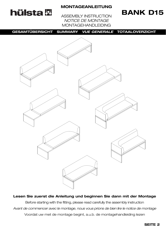# **hülsta <b>W**

#### **MONTAGEANLEITUNG**

### **BANK D15**

ASSEMBLY INSTRUCTION NOTICE DE MONTAGE MONTAGEHANDLEIDING

**GESAMTÜBERSICHT SUMMARY** *VUE GENERALE* **TOTAALOVERZICHT**



**Lesen Sie zuerst die Anleitung und beginnen Sie dann mit der Montage** Before starting with the fitting, please read carefully the assembly instruction Avant de commencer avec le montage, nous vous prions de bien lire le notice de montage Voordat uw met de montage begint, a.u.b. de montagehandleiding lezen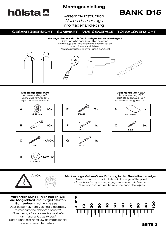# **hülsta W**

#### **Montageanleitung**

Assembly instruction Notice de montage montagehandleiding

# **BANK D15**

**GESAMTÜBERSICHT SUMMARY** *VUE GENERALE* **TOTAALOVERZICHT**

**Montage darf nur durch fachkundiges Personal erfolgen!** Fitting has to be done by qualified personnel Le montage doit uniquement être effectué par de main d'œuvre spécialisée Montage uitsluitend door vakkundig personeel







**Beschlagbeutel 1610** Accessories bag 1610

Sachets de ferrures 1610 Zakjes met beslagdelen 1610









**A 10x**







**Beschlagbeutel 1627**

Accessories bag 1627 Sachets de ferrures 1627 Zakjes met beslagdelen 1627



**4x25**

### **Markierungspfeil muß zur Bohrung in der Bauteilkante zeigen!**

Arrow on cam must point to hole in the edge of the panel! Placer la flèche repère au perçage sur le chant de l'élément! Pijl in de kopse kant van betreffende onderdeel wijzen!

#### **Verehrter Kunde, hier haben Sie die Möglichkeit die mitgelieferten Schrauben nachzumessen!**

Dear customer, here you find a possibility to measure the delivered screws! Cher client, ici vous avez la possibilité de mésurer les vis livrées! Beste klant, hier heeft uw de mogelijkheid de schroeven te meten!

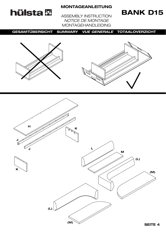# **hülsta &**

#### **MONTAGEANLEITUNG**

### **BANK D15**

ASSEMBLY INSTRUCTION NOTICE DE MONTAGE MONTAGEHANDLEIDING

**GESAMTÜBERSICHT SUMMARY** *VUE GENERALE* **TOTAALOVERZICHT**





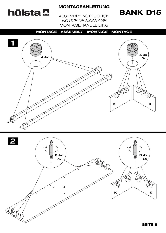

# **BANK D15**

ASSEMBLY INSTRUCTION NOTICE DE MONTAGE MONTAGEHANDLEIDING



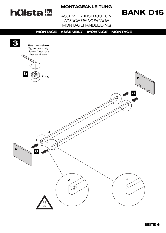# hülsta<sup>lg</sup>

#### **MONTAGEANLEITUNG**

### **BANK D15**

ASSEMBLY INSTRUCTION NOTICE DE MONTAGE **MONTAGEHANDLEIDING** 

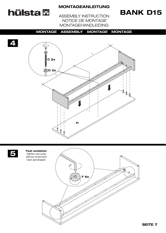# **hülsta W**

4

#### **MONTAGEANLEITUNG**

### **BANK D15**

**ASSEMBLY INSTRUCTION** NOTICE DE MONTAGE **MONTAGEHANDLEIDING** 

#### **MONTAGE ASSEMBLY MONTAGE MONTAGE**





**Fest anziehen** Tighten securely Serrez fortement Vast aandraaien

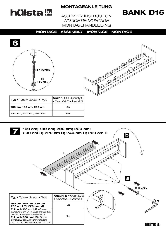

### **BANK D15**

ASSEMBLY INSTRUCTION NOTICE DE MONTAGE MONTAGEHANDLEIDING



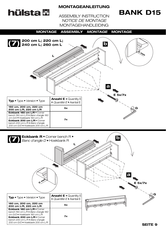# **hülsta W**

#### **MONTAGEANLEITUNG**

# **BANK D15**

ASSEMBLY INSTRUCTION NOTICE DE MONTAGE MONTAGEHANDLEIDING

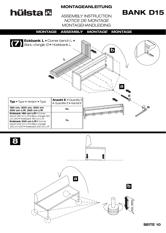# **hülsta**恩

**8**

#### **MONTAGEANLEITUNG**

# **BANK D15**

ASSEMBLY INSTRUCTION NOTICE DE MONTAGE MONTAGEHANDLEIDING



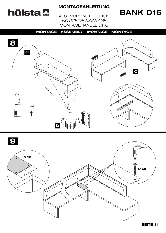

### **BANK D15**

ASSEMBLY INSTRUCTION NOTICE DE MONTAGE MONTAGEHANDLEIDING





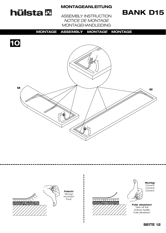

### **BANK D15**

ASSEMBLY INSTRUCTION NOTICE DE MONTAGE MONTAGEHANDLEIDING